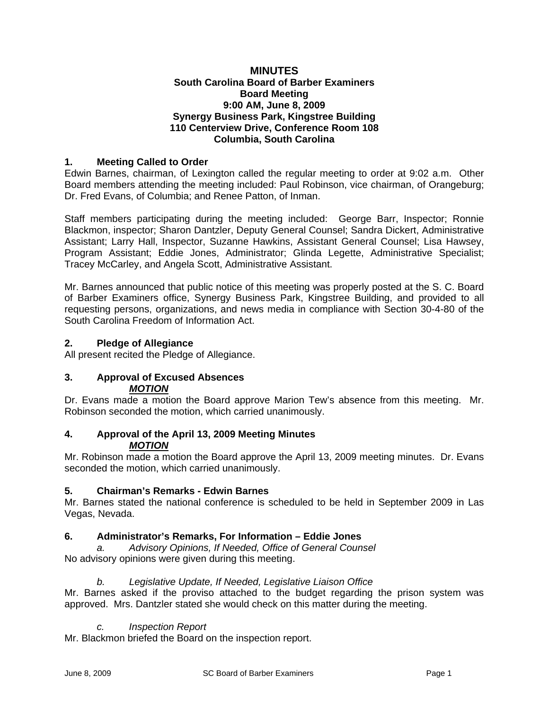#### **MINUTES South Carolina Board of Barber Examiners Board Meeting 9:00 AM, June 8, 2009 Synergy Business Park, Kingstree Building 110 Centerview Drive, Conference Room 108 Columbia, South Carolina**

### **1. Meeting Called to Order**

Edwin Barnes, chairman, of Lexington called the regular meeting to order at 9:02 a.m. Other Board members attending the meeting included: Paul Robinson, vice chairman, of Orangeburg; Dr. Fred Evans, of Columbia; and Renee Patton, of Inman.

Staff members participating during the meeting included: George Barr, Inspector; Ronnie Blackmon, inspector; Sharon Dantzler, Deputy General Counsel; Sandra Dickert, Administrative Assistant; Larry Hall, Inspector, Suzanne Hawkins, Assistant General Counsel; Lisa Hawsey, Program Assistant; Eddie Jones, Administrator; Glinda Legette, Administrative Specialist; Tracey McCarley, and Angela Scott, Administrative Assistant.

Mr. Barnes announced that public notice of this meeting was properly posted at the S. C. Board of Barber Examiners office, Synergy Business Park, Kingstree Building, and provided to all requesting persons, organizations, and news media in compliance with Section 30-4-80 of the South Carolina Freedom of Information Act.

### **2. Pledge of Allegiance**

All present recited the Pledge of Allegiance.

#### **3. Approval of Excused Absences**  *MOTION*

Dr. Evans made a motion the Board approve Marion Tew's absence from this meeting. Mr. Robinson seconded the motion, which carried unanimously.

### **4. Approval of the April 13, 2009 Meeting Minutes**  *MOTION*

Mr. Robinson made a motion the Board approve the April 13, 2009 meeting minutes. Dr. Evans seconded the motion, which carried unanimously.

#### **5. Chairman's Remarks - Edwin Barnes**

Mr. Barnes stated the national conference is scheduled to be held in September 2009 in Las Vegas, Nevada.

#### **6. Administrator's Remarks, For Information – Eddie Jones**

*a. Advisory Opinions, If Needed, Office of General Counsel* No advisory opinions were given during this meeting.

#### *b. Legislative Update, If Needed, Legislative Liaison Office*

Mr. Barnes asked if the proviso attached to the budget regarding the prison system was approved. Mrs. Dantzler stated she would check on this matter during the meeting.

#### *c. Inspection Report*

Mr. Blackmon briefed the Board on the inspection report.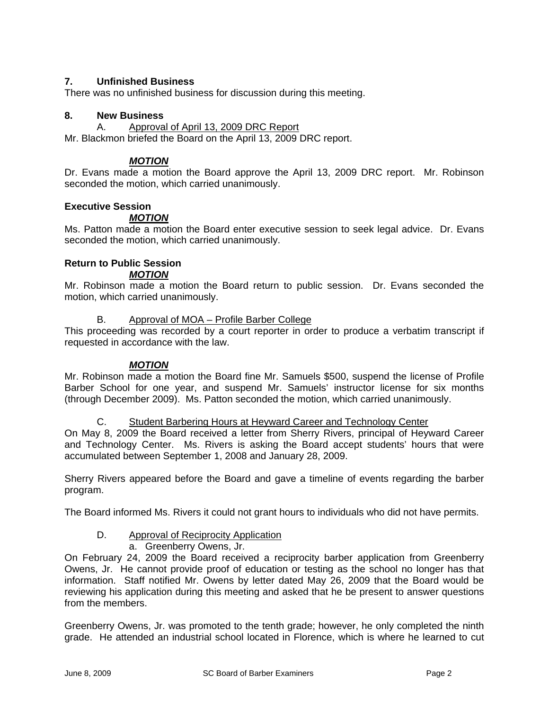### **7. Unfinished Business**

There was no unfinished business for discussion during this meeting.

### **8. New Business**

A. Approval of April 13, 2009 DRC Report

Mr. Blackmon briefed the Board on the April 13, 2009 DRC report.

### *MOTION*

Dr. Evans made a motion the Board approve the April 13, 2009 DRC report. Mr. Robinson seconded the motion, which carried unanimously.

### **Executive Session**

### *MOTION*

Ms. Patton made a motion the Board enter executive session to seek legal advice. Dr. Evans seconded the motion, which carried unanimously.

# **Return to Public Session**

### *MOTION*

Mr. Robinson made a motion the Board return to public session. Dr. Evans seconded the motion, which carried unanimously.

#### B. Approval of MOA – Profile Barber College

This proceeding was recorded by a court reporter in order to produce a verbatim transcript if requested in accordance with the law.

### *MOTION*

Mr. Robinson made a motion the Board fine Mr. Samuels \$500, suspend the license of Profile Barber School for one year, and suspend Mr. Samuels' instructor license for six months (through December 2009). Ms. Patton seconded the motion, which carried unanimously.

C. Student Barbering Hours at Heyward Career and Technology Center

On May 8, 2009 the Board received a letter from Sherry Rivers, principal of Heyward Career and Technology Center. Ms. Rivers is asking the Board accept students' hours that were accumulated between September 1, 2008 and January 28, 2009.

Sherry Rivers appeared before the Board and gave a timeline of events regarding the barber program.

The Board informed Ms. Rivers it could not grant hours to individuals who did not have permits.

### D. Approval of Reciprocity Application

a. Greenberry Owens, Jr.

On February 24, 2009 the Board received a reciprocity barber application from Greenberry Owens, Jr. He cannot provide proof of education or testing as the school no longer has that information. Staff notified Mr. Owens by letter dated May 26, 2009 that the Board would be reviewing his application during this meeting and asked that he be present to answer questions from the members.

Greenberry Owens, Jr. was promoted to the tenth grade; however, he only completed the ninth grade. He attended an industrial school located in Florence, which is where he learned to cut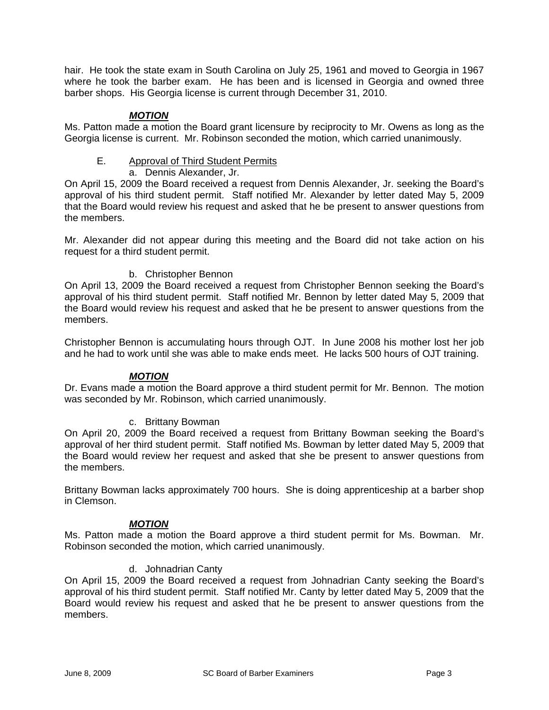hair. He took the state exam in South Carolina on July 25, 1961 and moved to Georgia in 1967 where he took the barber exam. He has been and is licensed in Georgia and owned three barber shops. His Georgia license is current through December 31, 2010.

### *MOTION*

Ms. Patton made a motion the Board grant licensure by reciprocity to Mr. Owens as long as the Georgia license is current. Mr. Robinson seconded the motion, which carried unanimously.

E. Approval of Third Student Permits

a. Dennis Alexander, Jr.

On April 15, 2009 the Board received a request from Dennis Alexander, Jr. seeking the Board's approval of his third student permit. Staff notified Mr. Alexander by letter dated May 5, 2009 that the Board would review his request and asked that he be present to answer questions from the members.

Mr. Alexander did not appear during this meeting and the Board did not take action on his request for a third student permit.

## b. Christopher Bennon

On April 13, 2009 the Board received a request from Christopher Bennon seeking the Board's approval of his third student permit. Staff notified Mr. Bennon by letter dated May 5, 2009 that the Board would review his request and asked that he be present to answer questions from the members.

Christopher Bennon is accumulating hours through OJT. In June 2008 his mother lost her job and he had to work until she was able to make ends meet. He lacks 500 hours of OJT training.

### *MOTION*

Dr. Evans made a motion the Board approve a third student permit for Mr. Bennon. The motion was seconded by Mr. Robinson, which carried unanimously.

### c. Brittany Bowman

On April 20, 2009 the Board received a request from Brittany Bowman seeking the Board's approval of her third student permit. Staff notified Ms. Bowman by letter dated May 5, 2009 that the Board would review her request and asked that she be present to answer questions from the members.

Brittany Bowman lacks approximately 700 hours. She is doing apprenticeship at a barber shop in Clemson.

### *MOTION*

Ms. Patton made a motion the Board approve a third student permit for Ms. Bowman. Mr. Robinson seconded the motion, which carried unanimously.

### d. Johnadrian Canty

On April 15, 2009 the Board received a request from Johnadrian Canty seeking the Board's approval of his third student permit. Staff notified Mr. Canty by letter dated May 5, 2009 that the Board would review his request and asked that he be present to answer questions from the members.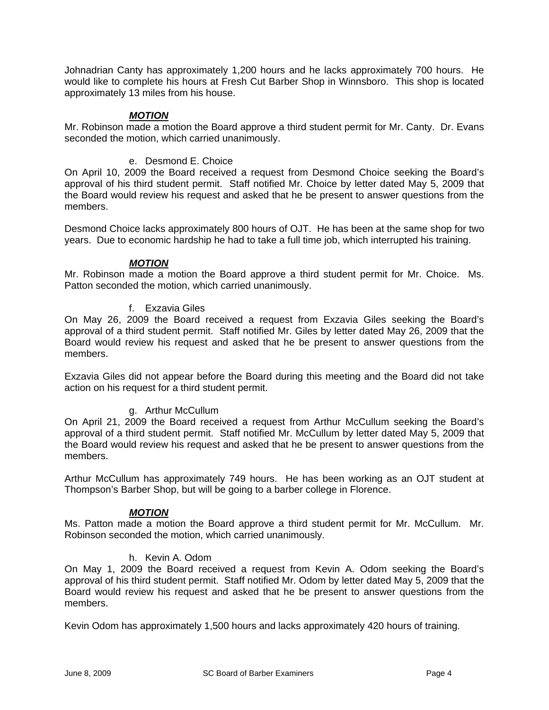Johnadrian Canty has approximately 1,200 hours and he lacks approximately 700 hours. He would like to complete his hours at Fresh Cut Barber Shop in Winnsboro. This shop is located approximately 13 miles from his house.

### *MOTION*

Mr. Robinson made a motion the Board approve a third student permit for Mr. Canty. Dr. Evans seconded the motion, which carried unanimously.

### e. Desmond E. Choice

On April 10, 2009 the Board received a request from Desmond Choice seeking the Board's approval of his third student permit. Staff notified Mr. Choice by letter dated May 5, 2009 that the Board would review his request and asked that he be present to answer questions from the members.

Desmond Choice lacks approximately 800 hours of OJT. He has been at the same shop for two years. Due to economic hardship he had to take a full time job, which interrupted his training.

### *MOTION*

Mr. Robinson made a motion the Board approve a third student permit for Mr. Choice. Ms. Patton seconded the motion, which carried unanimously.

### f. Exzavia Giles

On May 26, 2009 the Board received a request from Exzavia Giles seeking the Board's approval of a third student permit. Staff notified Mr. Giles by letter dated May 26, 2009 that the Board would review his request and asked that he be present to answer questions from the members.

Exzavia Giles did not appear before the Board during this meeting and the Board did not take action on his request for a third student permit.

### g. Arthur McCullum

On April 21, 2009 the Board received a request from Arthur McCullum seeking the Board's approval of a third student permit. Staff notified Mr. McCullum by letter dated May 5, 2009 that the Board would review his request and asked that he be present to answer questions from the members.

Arthur McCullum has approximately 749 hours. He has been working as an OJT student at Thompson's Barber Shop, but will be going to a barber college in Florence.

### *MOTION*

Ms. Patton made a motion the Board approve a third student permit for Mr. McCullum. Mr. Robinson seconded the motion, which carried unanimously.

#### h. Kevin A. Odom

On May 1, 2009 the Board received a request from Kevin A. Odom seeking the Board's approval of his third student permit. Staff notified Mr. Odom by letter dated May 5, 2009 that the Board would review his request and asked that he be present to answer questions from the members.

Kevin Odom has approximately 1,500 hours and lacks approximately 420 hours of training.